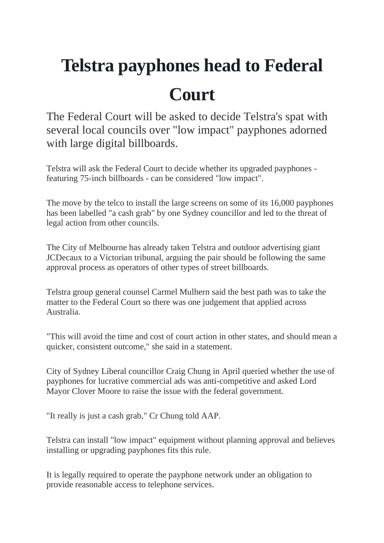## **Telstra payphones head to Federal Court**

The Federal Court will be asked to decide Telstra's spat with several local councils over "low impact" payphones adorned with large digital billboards.

Telstra will ask the Federal Court to decide whether its upgraded payphones featuring 75-inch billboards - can be considered "low impact".

The move by the telco to install the large screens on some of its 16,000 payphones has been labelled "a cash grab" by one Sydney councillor and led to the threat of legal action from other councils.

The City of Melbourne has already taken Telstra and outdoor advertising giant JCDecaux to a Victorian tribunal, arguing the pair should be following the same approval process as operators of other types of street billboards.

Telstra group general counsel Carmel Mulhern said the best path was to take the matter to the Federal Court so there was one judgement that applied across Australia.

"This will avoid the time and cost of court action in other states, and should mean a quicker, consistent outcome," she said in a statement.

City of Sydney Liberal councillor Craig Chung in April queried whether the use of payphones for lucrative commercial ads was anti-competitive and asked Lord Mayor Clover Moore to raise the issue with the federal government.

"It really is just a cash grab," Cr Chung told AAP.

Telstra can install "low impact" equipment without planning approval and believes installing or upgrading payphones fits this rule.

It is legally required to operate the payphone network under an obligation to provide reasonable access to telephone services.